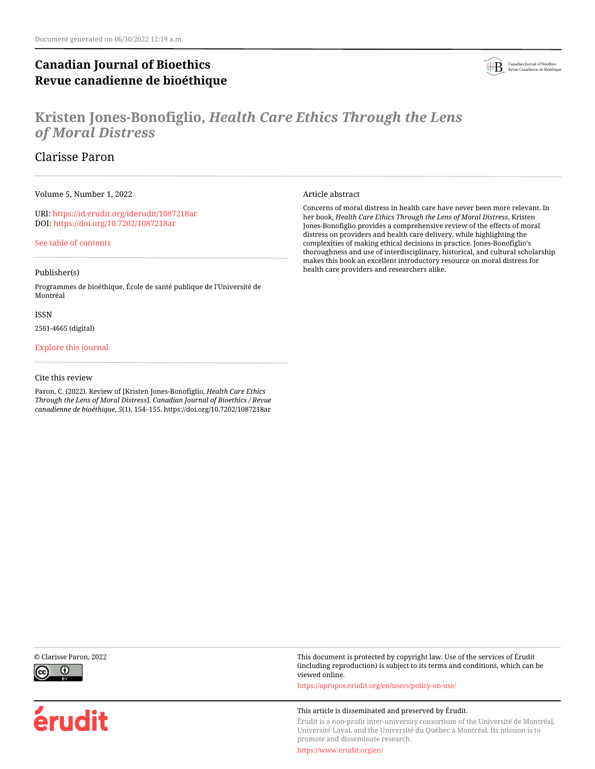# **Canadian Journal of Bioethics Revue canadienne de bioéthique**



# **Kristen Jones-Bonofiglio,** *Health Care Ethics Through the Lens of Moral Distress*

# Clarisse Paron

Volume 5, Number 1, 2022

URI:<https://id.erudit.org/iderudit/1087218ar> DOI:<https://doi.org/10.7202/1087218ar>

[See table of contents](https://www.erudit.org/en/journals/bioethics/2022-v5-n1-bioethics06848/)

## Publisher(s)

Programmes de bioéthique, École de santé publique de l'Université de Montréal

### ISSN

2561-4665 (digital)

## [Explore this journal](https://www.erudit.org/en/journals/bioethics/)

## Cite this review

Paron, C. (2022). Review of [Kristen Jones-Bonofiglio, *Health Care Ethics Through the Lens of Moral Distress*]. *Canadian Journal of Bioethics / Revue canadienne de bioéthique*, *5*(1), 154–155. https://doi.org/10.7202/1087218ar

Article abstract

Concerns of moral distress in health care have never been more relevant. In her book, *Health Care Ethics Through the Lens of Moral Distress*, Kristen Jones-Bonofiglio provides a comprehensive review of the effects of moral distress on providers and health care delivery, while highlighting the complexities of making ethical decisions in practice. Jones-Bonofiglio's thoroughness and use of interdisciplinary, historical, and cultural scholarship makes this book an excellent introductory resource on moral distress for health care providers and researchers alike.



érudit

© Clarisse Paron, 2022 This document is protected by copyright law. Use of the services of Érudit (including reproduction) is subject to its terms and conditions, which can be viewed online.

<https://apropos.erudit.org/en/users/policy-on-use/>

### This article is disseminated and preserved by Érudit.

Érudit is a non-profit inter-university consortium of the Université de Montréal, Université Laval, and the Université du Québec à Montréal. Its mission is to promote and disseminate research.

<https://www.erudit.org/en/>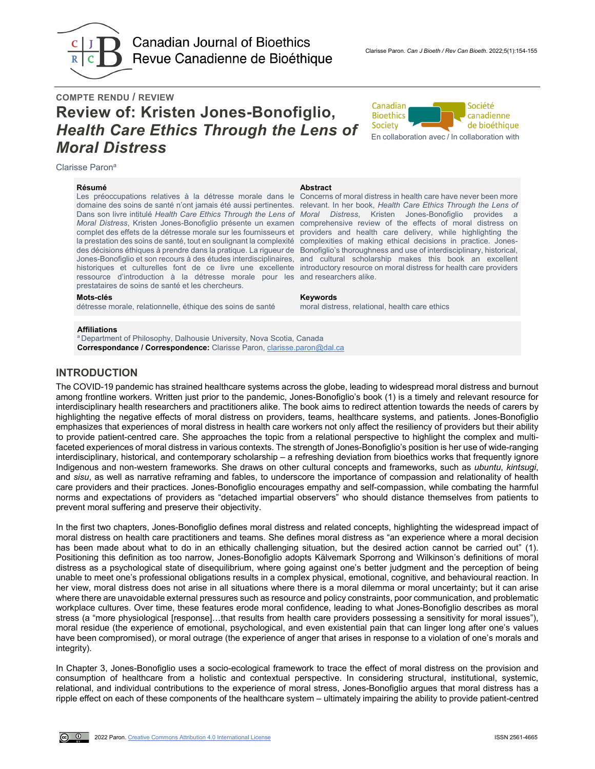

**Canadian Journal of Bioethics** Revue Canadienne de Bioéthique

# **COMPTE RENDU / REVIEW Review of: Kristen Jones-Bonofiglio,**  *Health Care Ethics Through the Lens of Moral Distress*



Clarisse Paron<sup>a</sup>

#### **Résumé Abstract**

Les préoccupations relatives à la détresse morale dans le Concerns of moral distress in health care have never been more domaine des soins de santé n'ont jamais été aussi pertinentes. Dans son livre intitulé *Health Care Ethics Through the Lens of Moral Distress*, Kristen Jones-Bonofiglio provides a complet des effets de la détresse morale sur les fournisseurs et la prestation des soins de santé, tout en soulignant la complexité des décisions éthiques à prendre dans la pratique. La rigueur de ressource d'introduction à la détresse morale pour les and researchers alike. prestataires de soins de santé et les chercheurs.

#### **Mots-clés Keywords**

détresse morale, relationnelle, éthique des soins de santé moral distress, relational, health care ethics

#### **Affiliations**

<sup>a</sup> Department of Philosophy, Dalhousie University, Nova Scotia, Canada **Correspondance / Correspondence:** Clarisse Paron, [clarisse.paron@dal.ca](mailto:clarisse.paron@dal.ca)

# **INTRODUCTION**

The COVID-19 pandemic has strained healthcare systems across the globe, leading to widespread moral distress and burnout among frontline workers. Written just prior to the pandemic, Jones-Bonofiglio's book (1) is a timely and relevant resource for interdisciplinary health researchers and practitioners alike. The book aims to redirect attention towards the needs of carers by highlighting the negative effects of moral distress on providers, teams, healthcare systems, and patients. Jones-Bonofiglio emphasizes that experiences of moral distress in health care workers not only affect the resiliency of providers but their ability to provide patient-centred care. She approaches the topic from a relational perspective to highlight the complex and multifaceted experiences of moral distress in various contexts. The strength of Jones-Bonofiglio's position is her use of wide-ranging interdisciplinary, historical, and contemporary scholarship – a refreshing deviation from bioethics works that frequently ignore Indigenous and non-western frameworks. She draws on other cultural concepts and frameworks, such as *ubuntu*, *kintsugi*, and *sisu*, as well as narrative reframing and fables, to underscore the importance of compassion and relationality of health care providers and their practices. Jones-Bonofiglio encourages empathy and self-compassion, while combating the harmful norms and expectations of providers as "detached impartial observers" who should distance themselves from patients to prevent moral suffering and preserve their objectivity.

In the first two chapters, Jones-Bonofiglio defines moral distress and related concepts, highlighting the widespread impact of moral distress on health care practitioners and teams. She defines moral distress as "an experience where a moral decision has been made about what to do in an ethically challenging situation, but the desired action cannot be carried out" (1). Positioning this definition as too narrow, Jones-Bonofiglio adopts Kälvemark Sporrong and Wilkinson's definitions of moral distress as a psychological state of disequilibrium, where going against one's better judgment and the perception of being unable to meet one's professional obligations results in a complex physical, emotional, cognitive, and behavioural reaction. In her view, moral distress does not arise in all situations where there is a moral dilemma or moral uncertainty; but it can arise where there are unavoidable external pressures such as resource and policy constraints, poor communication, and problematic workplace cultures. Over time, these features erode moral confidence, leading to what Jones-Bonofiglio describes as moral stress (a "more physiological [response]…that results from health care providers possessing a sensitivity for moral issues"), moral residue (the experience of emotional, psychological, and even existential pain that can linger long after one's values have been compromised), or moral outrage (the experience of anger that arises in response to a violation of one's morals and integrity).

In Chapter 3, Jones-Bonofiglio uses a socio-ecological framework to trace the effect of moral distress on the provision and consumption of healthcare from a holistic and contextual perspective. In considering structural, institutional, systemic, relational, and individual contributions to the experience of moral stress, Jones-Bonofiglio argues that moral distress has a ripple effect on each of these components of the healthcare system – ultimately impairing the ability to provide patient-centred

*Moral Distress*, Kristen Jones-Bonofiglio présente un examen comprehensive review of the effects of moral distress on Jones-Bonofiglio et son recours à des études interdisciplinaires, and cultural scholarship makes this book an excellent historiques et culturelles font de ce livre une excellente introductory resource on moral distress for health care providers providers and health care delivery, while highlighting the complexities of making ethical decisions in practice. Jones-Bonofiglio's thoroughness and use of interdisciplinary, historical,

relevant. In her book, *Health Care Ethics Through the Lens of*